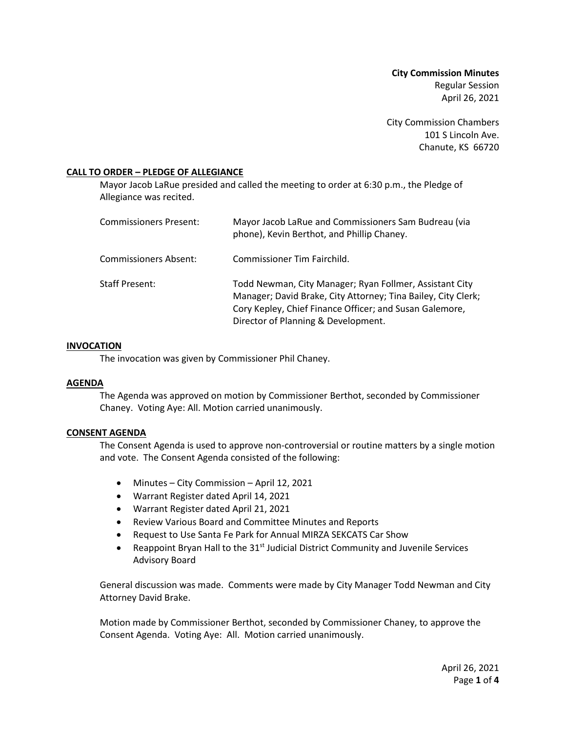**City Commission Minutes** Regular Session April 26, 2021

City Commission Chambers 101 S Lincoln Ave. Chanute, KS 66720

### **CALL TO ORDER – PLEDGE OF ALLEGIANCE**

Mayor Jacob LaRue presided and called the meeting to order at 6:30 p.m., the Pledge of Allegiance was recited.

| Commissioners Present: | Mayor Jacob LaRue and Commissioners Sam Budreau (via<br>phone), Kevin Berthot, and Phillip Chaney.                                                                                                                         |
|------------------------|----------------------------------------------------------------------------------------------------------------------------------------------------------------------------------------------------------------------------|
| Commissioners Absent:  | Commissioner Tim Fairchild.                                                                                                                                                                                                |
| Staff Present:         | Todd Newman, City Manager; Ryan Follmer, Assistant City<br>Manager; David Brake, City Attorney; Tina Bailey, City Clerk;<br>Cory Kepley, Chief Finance Officer; and Susan Galemore,<br>Director of Planning & Development. |

### **INVOCATION**

The invocation was given by Commissioner Phil Chaney.

### **AGENDA**

The Agenda was approved on motion by Commissioner Berthot, seconded by Commissioner Chaney. Voting Aye: All. Motion carried unanimously.

## **CONSENT AGENDA**

The Consent Agenda is used to approve non-controversial or routine matters by a single motion and vote. The Consent Agenda consisted of the following:

- Minutes City Commission April 12, 2021
- Warrant Register dated April 14, 2021
- Warrant Register dated April 21, 2021
- Review Various Board and Committee Minutes and Reports
- Request to Use Santa Fe Park for Annual MIRZA SEKCATS Car Show
- Reappoint Bryan Hall to the  $31<sup>st</sup>$  Judicial District Community and Juvenile Services Advisory Board

General discussion was made. Comments were made by City Manager Todd Newman and City Attorney David Brake.

Motion made by Commissioner Berthot, seconded by Commissioner Chaney, to approve the Consent Agenda. Voting Aye: All. Motion carried unanimously.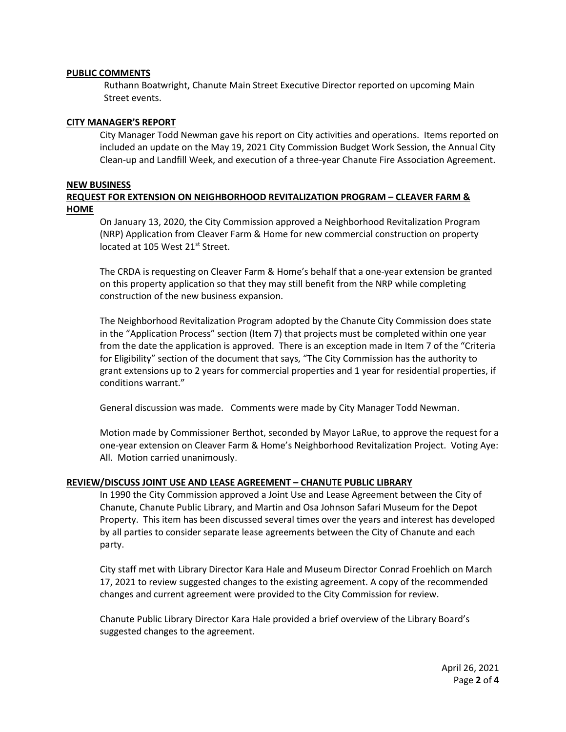### **PUBLIC COMMENTS**

Ruthann Boatwright, Chanute Main Street Executive Director reported on upcoming Main Street events.

#### **CITY MANAGER'S REPORT**

City Manager Todd Newman gave his report on City activities and operations. Items reported on included an update on the May 19, 2021 City Commission Budget Work Session, the Annual City Clean-up and Landfill Week, and execution of a three-year Chanute Fire Association Agreement.

#### **NEW BUSINESS**

## **REQUEST FOR EXTENSION ON NEIGHBORHOOD REVITALIZATION PROGRAM – CLEAVER FARM & HOME**

On January 13, 2020, the City Commission approved a Neighborhood Revitalization Program (NRP) Application from Cleaver Farm & Home for new commercial construction on property located at 105 West 21<sup>st</sup> Street.

The CRDA is requesting on Cleaver Farm & Home's behalf that a one-year extension be granted on this property application so that they may still benefit from the NRP while completing construction of the new business expansion.

The Neighborhood Revitalization Program adopted by the Chanute City Commission does state in the "Application Process" section (Item 7) that projects must be completed within one year from the date the application is approved. There is an exception made in Item 7 of the "Criteria for Eligibility" section of the document that says, "The City Commission has the authority to grant extensions up to 2 years for commercial properties and 1 year for residential properties, if conditions warrant."

General discussion was made. Comments were made by City Manager Todd Newman.

Motion made by Commissioner Berthot, seconded by Mayor LaRue, to approve the request for a one-year extension on Cleaver Farm & Home's Neighborhood Revitalization Project. Voting Aye: All. Motion carried unanimously.

### **REVIEW/DISCUSS JOINT USE AND LEASE AGREEMENT – CHANUTE PUBLIC LIBRARY**

In 1990 the City Commission approved a Joint Use and Lease Agreement between the City of Chanute, Chanute Public Library, and Martin and Osa Johnson Safari Museum for the Depot Property. This item has been discussed several times over the years and interest has developed by all parties to consider separate lease agreements between the City of Chanute and each party.

City staff met with Library Director Kara Hale and Museum Director Conrad Froehlich on March 17, 2021 to review suggested changes to the existing agreement. A copy of the recommended changes and current agreement were provided to the City Commission for review.

Chanute Public Library Director Kara Hale provided a brief overview of the Library Board's suggested changes to the agreement.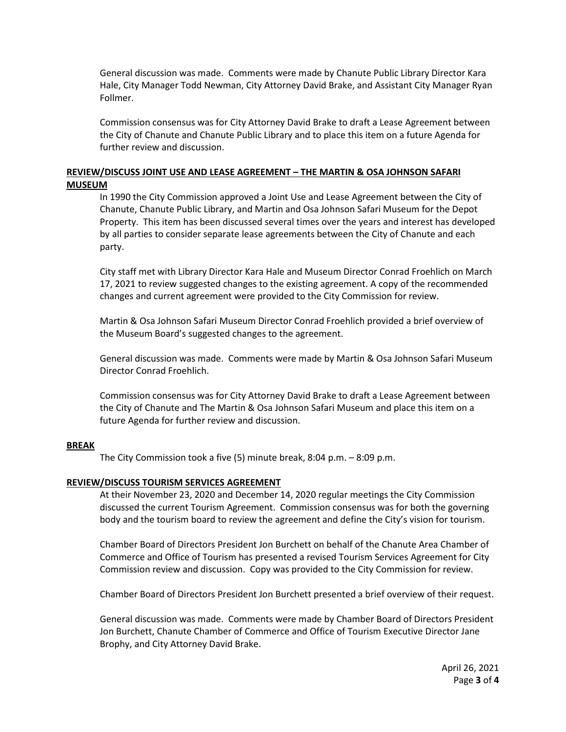General discussion was made. Comments were made by Chanute Public Library Director Kara Hale, City Manager Todd Newman, City Attorney David Brake, and Assistant City Manager Ryan Follmer.

Commission consensus was for City Attorney David Brake to draft a Lease Agreement between the City of Chanute and Chanute Public Library and to place this item on a future Agenda for further review and discussion.

# **REVIEW/DISCUSS JOINT USE AND LEASE AGREEMENT – THE MARTIN & OSA JOHNSON SAFARI MUSEUM**

In 1990 the City Commission approved a Joint Use and Lease Agreement between the City of Chanute, Chanute Public Library, and Martin and Osa Johnson Safari Museum for the Depot Property. This item has been discussed several times over the years and interest has developed by all parties to consider separate lease agreements between the City of Chanute and each party.

City staff met with Library Director Kara Hale and Museum Director Conrad Froehlich on March 17, 2021 to review suggested changes to the existing agreement. A copy of the recommended changes and current agreement were provided to the City Commission for review.

Martin & Osa Johnson Safari Museum Director Conrad Froehlich provided a brief overview of the Museum Board's suggested changes to the agreement.

General discussion was made. Comments were made by Martin & Osa Johnson Safari Museum Director Conrad Froehlich.

Commission consensus was for City Attorney David Brake to draft a Lease Agreement between the City of Chanute and The Martin & Osa Johnson Safari Museum and place this item on a future Agenda for further review and discussion.

### **BREAK**

The City Commission took a five (5) minute break, 8:04 p.m. – 8:09 p.m.

## **REVIEW/DISCUSS TOURISM SERVICES AGREEMENT**

At their November 23, 2020 and December 14, 2020 regular meetings the City Commission discussed the current Tourism Agreement. Commission consensus was for both the governing body and the tourism board to review the agreement and define the City's vision for tourism.

Chamber Board of Directors President Jon Burchett on behalf of the Chanute Area Chamber of Commerce and Office of Tourism has presented a revised Tourism Services Agreement for City Commission review and discussion. Copy was provided to the City Commission for review.

Chamber Board of Directors President Jon Burchett presented a brief overview of their request.

General discussion was made. Comments were made by Chamber Board of Directors President Jon Burchett, Chanute Chamber of Commerce and Office of Tourism Executive Director Jane Brophy, and City Attorney David Brake.